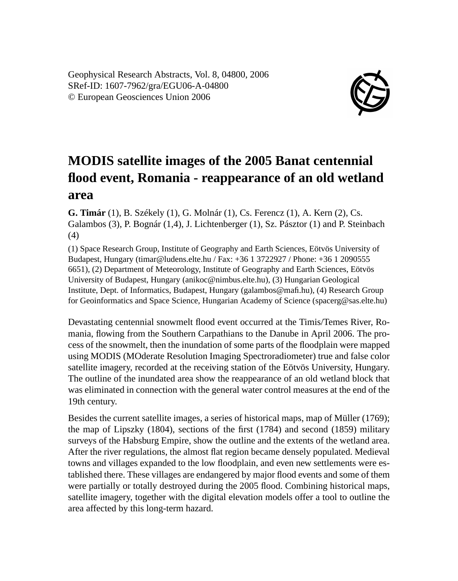Geophysical Research Abstracts, Vol. 8, 04800, 2006 SRef-ID: 1607-7962/gra/EGU06-A-04800 © European Geosciences Union 2006



## **MODIS satellite images of the 2005 Banat centennial flood event, Romania - reappearance of an old wetland area**

**G. Timár** (1), B. Székely (1), G. Molnár (1), Cs. Ferencz (1), A. Kern (2), Cs. Galambos (3), P. Bognár (1,4), J. Lichtenberger (1), Sz. Pásztor (1) and P. Steinbach (4)

(1) Space Research Group, Institute of Geography and Earth Sciences, Eötvös University of Budapest, Hungary (timar@ludens.elte.hu / Fax: +36 1 3722927 / Phone: +36 1 2090555 6651), (2) Department of Meteorology, Institute of Geography and Earth Sciences, Eötvös University of Budapest, Hungary (anikoc@nimbus.elte.hu), (3) Hungarian Geological Institute, Dept. of Informatics, Budapest, Hungary (galambos@mafi.hu), (4) Research Group for Geoinformatics and Space Science, Hungarian Academy of Science (spacerg@sas.elte.hu)

Devastating centennial snowmelt flood event occurred at the Timis/Temes River, Romania, flowing from the Southern Carpathians to the Danube in April 2006. The process of the snowmelt, then the inundation of some parts of the floodplain were mapped using MODIS (MOderate Resolution Imaging Spectroradiometer) true and false color satellite imagery, recorded at the receiving station of the Eötvös University, Hungary. The outline of the inundated area show the reappearance of an old wetland block that was eliminated in connection with the general water control measures at the end of the 19th century.

Besides the current satellite images, a series of historical maps, map of Müller (1769); the map of Lipszky (1804), sections of the first (1784) and second (1859) military surveys of the Habsburg Empire, show the outline and the extents of the wetland area. After the river regulations, the almost flat region became densely populated. Medieval towns and villages expanded to the low floodplain, and even new settlements were established there. These villages are endangered by major flood events and some of them were partially or totally destroyed during the 2005 flood. Combining historical maps, satellite imagery, together with the digital elevation models offer a tool to outline the area affected by this long-term hazard.